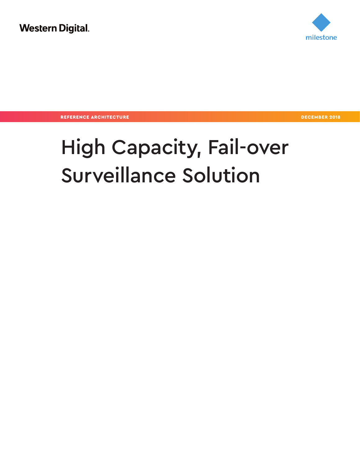

REFERENCE ARCHITECTURE DECEMBER 2018

# High Capacity, Fail-over Surveillance Solution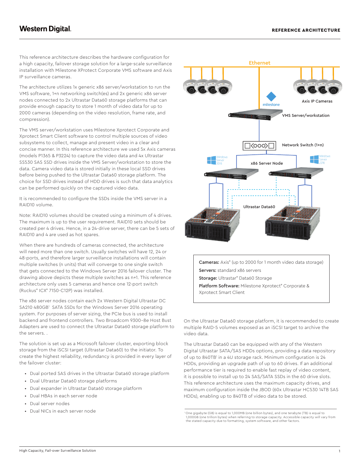This reference architecture describes the hardware configuration for а high capacity, failover storage solution for a large-scale surveillance installation with Milestone XProtect Corporate VMS software and Axis IP surveillance cameras.

The architecture utilizes 1x generic x86 server/workstation to run the VMS software, 1+n networking switch(es) and 2x generic x86 server nodes connected to 2x Ultrastar Data60 storage platforms that can provide enough capacity to store 1 month of video data for up to 2000 cameras (depending on the video resolution, frame rate, and compression).

The VMS server/workstation uses Milestone Xprotect Corporate and Xprotect Smart Client software to control multiple sources of video subsystems to collect, manage and present video in a clear and concise manner. In this reference architecture we used 5x Axis cameras (models P1365 & P3224) to capture the video data and 4x Ultrastar SS530 SAS SSD drives inside the VMS Server/workstation to store the data. Camera video data is stored initially in these local SSD drives before being pushed to the Ultrastar Data60 storage platform. The choice for SSD drives instead of HDD drives is such that data analytics can be performed quickly on the captured video data.

It is recommended to configure the SSDs inside the VMS server in a RAID10 volume.

Note: RAID10 volumes should be created using a minimum of 4 drives. The maximum is up to the user requirement. RAID10 sets should be created per 4 drives. Hence, in a 24-drive server, there can be 5 sets of RAID10 and 4 are used as hot spares.

When there are hundreds of cameras connected, the architecture will need more than one switch. Usually switches will have 12, 24 or 48-ports, and therefore larger surveillance installations will contain multiple switches (n units) that will converge to one single switch that gets connected to the Windows Server 2016 failover cluster. The drawing above depicts these multiple switches as n+1. This reference architecture only uses 5 cameras and hence one 12-port switch (Ruckus® ICX® 7150-C12P) was installed.

The x86 server nodes contain each 2x Western Digital Ultrastar DC SA210 480GB<sup>1</sup> SATA SSDs for the Windows Server 2016 operating system. For purposes of server sizing, the PCIe bus is used to install backend and frontend controllers. Two Broadcom 9300-8e Host Bust Adapters are used to connect the Ultrastar Data60 storage platform to the servers. .

The solution is set up as a Microsoft failover cluster, exporting block storage from the iSCSI target (Ultrastar Data60) to the initiator. To create the highest reliability, redundancy is provided in every layer of the failover cluster:

- Dual ported SAS drives in the Ultrastar Data60 storage platform
- Dual Ultrastar Data60 storage platforms
- Dual expander in Ultrastar Data60 storage platform
- Dual HBAs in each server node
- Dual server nodes
- Dual NICs in each server node



**Cameras:** Axis<sup>®</sup> (up to 2000 for 1 month video data storage) Servers: standard x86 servers

Storage: Ultrastar® Data60 Storage

Platform Software: Milestone Xprotect® Corporate & Xprotect Smart Client

On the Ultrastar Data60 storage platform, it is recommended to create multiple RAID-5 volumes exposed as an iSCSI target to archive the video data.

The Ultrastar Data60 can be equipped with any of the Western Digital Ultrastar SATA/SAS HDDs options, providing a data repository of up to 840TB1 in a 4U storage rack. Minimum configuration is 24 HDDs, providing an upgrade path of up to 60 drives. If an additional performance tier is required to enable fast replay of video content, it is possible to install up to 24 SAS/SATA SSDs in the 60 drive slots. This reference architecture uses the maximum capacity drives, and maximum configuration inside the JBOD (60x Ultrastar HC530 14TB SAS HDDs), enabling up to 840TB of video data to be stored.

<sup>1</sup> One gigabyte (GB) is equal to 1,000MB (one billion bytes), and one terabyte (TB) is equal to 1,000GB (one trillion bytes) when referring to storage capacity. Accessible capacity will vary from the stated capacity due to formatting, system software, and other factors.